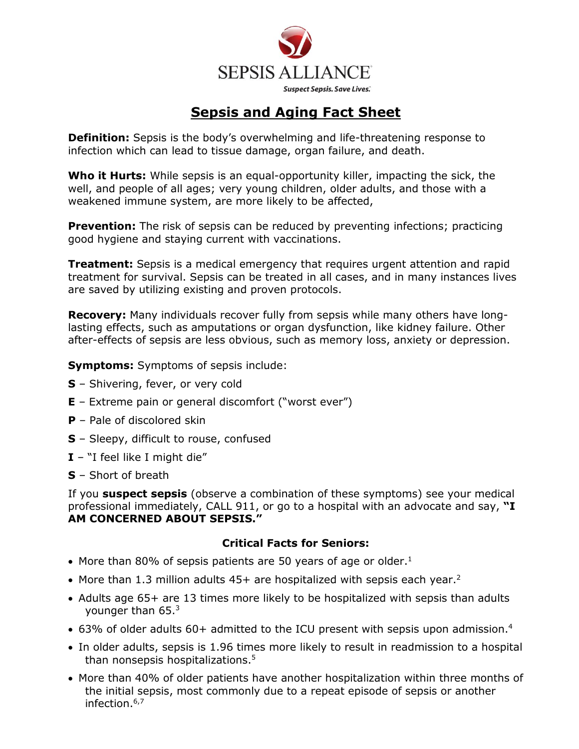

## **Sepsis and Aging Fact Sheet**

**Definition:** Sepsis is the body's overwhelming and life-threatening response to infection which can lead to tissue damage, organ failure, and death.

**Who it Hurts:** While sepsis is an equal-opportunity killer, impacting the sick, the well, and people of all ages; very young children, older adults, and those with a weakened immune system, are more likely to be affected,

**Prevention:** The risk of sepsis can be reduced by preventing infections; practicing good hygiene and staying current with vaccinations.

**Treatment:** Sepsis is a medical emergency that requires urgent attention and rapid treatment for survival. Sepsis can be treated in all cases, and in many instances lives are saved by utilizing existing and proven protocols.

**Recovery:** Many individuals recover fully from sepsis while many others have longlasting effects, such as amputations or organ dysfunction, like kidney failure. Other after-effects of sepsis are less obvious, such as memory loss, anxiety or depression.

**Symptoms:** Symptoms of sepsis include:

- **S** Shivering, fever, or very cold
- **E** Extreme pain or general discomfort ("worst ever")
- **P** Pale of discolored skin
- **S** Sleepy, difficult to rouse, confused
- **I** "I feel like I might die"
- **S** Short of breath

If you **suspect sepsis** (observe a combination of these symptoms) see your medical professional immediately, CALL 911, or go to a hospital with an advocate and say, **"I AM CONCERNED ABOUT SEPSIS."**

#### **Critical Facts for Seniors:**

- More than 80% of sepsis patients are 50 years of age or older. $<sup>1</sup>$ </sup>
- More than 1.3 million adults  $45+$  are hospitalized with sepsis each year.<sup>2</sup>
- Adults age 65+ are 13 times more likely to be hospitalized with sepsis than adults younger than 65.<sup>3</sup>
- 63% of older adults 60+ admitted to the ICU present with sepsis upon admission.<sup>4</sup>
- In older adults, sepsis is 1.96 times more likely to result in readmission to a hospital than nonsepsis hospitalizations.<sup>5</sup>
- More than 40% of older patients have another hospitalization within three months of the initial sepsis, most commonly due to a repeat episode of sepsis or another infection.<sup>6,7</sup>